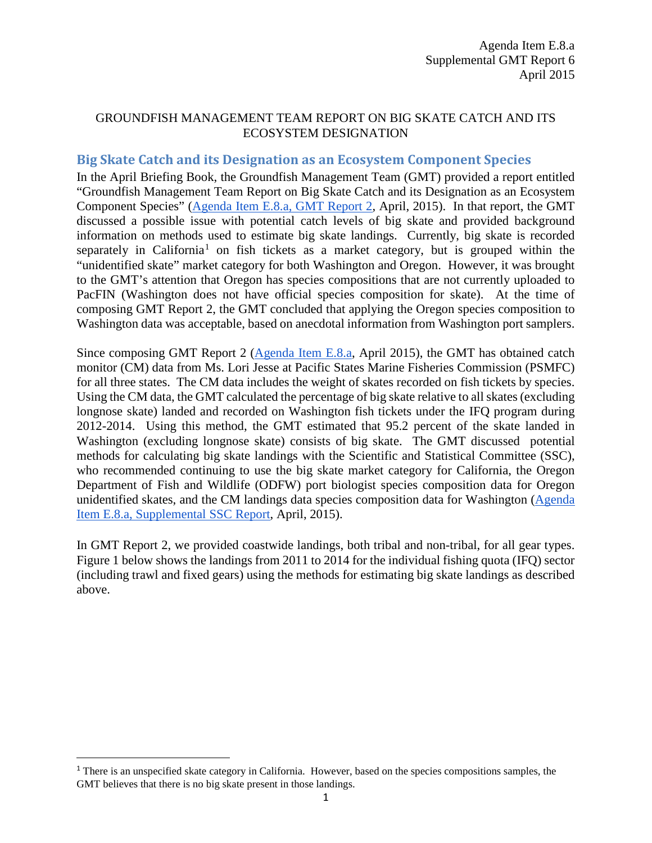#### GROUNDFISH MANAGEMENT TEAM REPORT ON BIG SKATE CATCH AND ITS ECOSYSTEM DESIGNATION

#### **Big Skate Catch and its Designation as an Ecosystem Component Species**

In the April Briefing Book, the Groundfish Management Team (GMT) provided a report entitled "Groundfish Management Team Report on Big Skate Catch and its Designation as an Ecosystem Component Species" [\(Agenda Item E.8.a, GMT Report 2,](http://www.pcouncil.org/wp-content/uploads/2015/03/E8a_GMT_Rpt2_EC_APR2015BB.pdf) April, 2015). In that report, the GMT discussed a possible issue with potential catch levels of big skate and provided background information on methods used to estimate big skate landings. Currently, big skate is recorded separately in California<sup>[1](#page-0-0)</sup> on fish tickets as a market category, but is grouped within the "unidentified skate" market category for both Washington and Oregon. However, it was brought to the GMT's attention that Oregon has species compositions that are not currently uploaded to PacFIN (Washington does not have official species composition for skate). At the time of composing GMT Report 2, the GMT concluded that applying the Oregon species composition to Washington data was acceptable, based on anecdotal information from Washington port samplers.

Since composing GMT Report 2 [\(Agenda Item E.8.a,](http://www.pcouncil.org/wp-content/uploads/2015/03/E8a_GMT_Rpt2_EC_APR2015BB.pdf) April 2015), the GMT has obtained catch monitor (CM) data from Ms. Lori Jesse at Pacific States Marine Fisheries Commission (PSMFC) for all three states. The CM data includes the weight of skates recorded on fish tickets by species. Using the CM data, the GMT calculated the percentage of big skate relative to all skates (excluding longnose skate) landed and recorded on Washington fish tickets under the IFQ program during 2012-2014. Using this method, the GMT estimated that 95.2 percent of the skate landed in Washington (excluding longnose skate) consists of big skate. The GMT discussed potential methods for calculating big skate landings with the Scientific and Statistical Committee (SSC), who recommended continuing to use the big skate market category for California, the Oregon Department of Fish and Wildlife (ODFW) port biologist species composition data for Oregon unidentified skates, and the CM landings data species composition data for Washington [\(Agenda](http://www.pcouncil.org/wp-content/uploads/2015/04/E8a_SupSSC_Rpt_APR2015BB.pdf)  [Item E.8.a, Supplemental SSC Report,](http://www.pcouncil.org/wp-content/uploads/2015/04/E8a_SupSSC_Rpt_APR2015BB.pdf) April, 2015).

In GMT Report 2, we provided coastwide landings, both tribal and non-tribal, for all gear types. Figure 1 below shows the landings from 2011 to 2014 for the individual fishing quota (IFQ) sector (including trawl and fixed gears) using the methods for estimating big skate landings as described above.

l

<span id="page-0-0"></span><sup>&</sup>lt;sup>1</sup> There is an unspecified skate category in California. However, based on the species compositions samples, the GMT believes that there is no big skate present in those landings.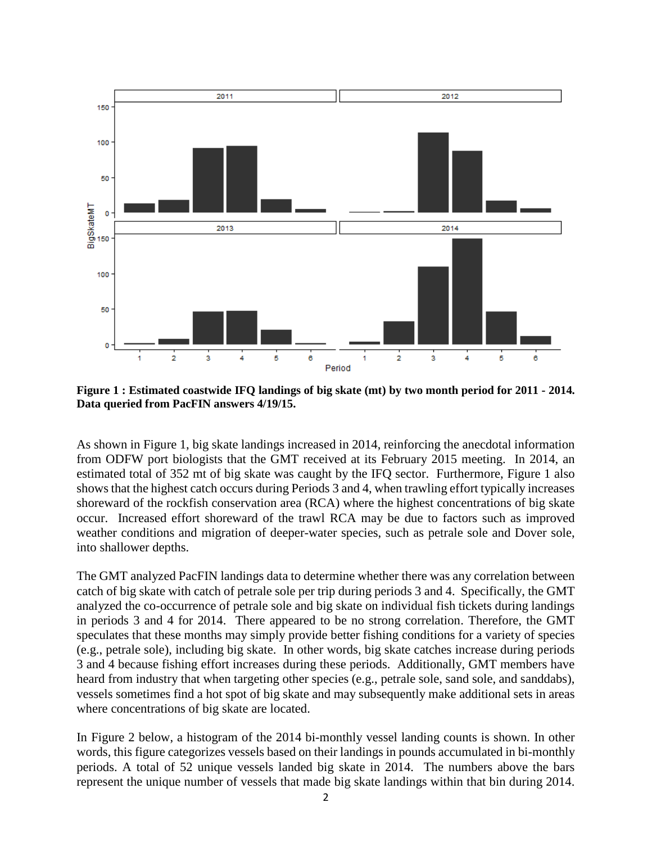

<span id="page-1-0"></span>**Figure 1 : Estimated coastwide IFQ landings of big skate (mt) by two month period for 2011 - 2014. Data queried from PacFIN answers 4/19/15.**

As shown in [Figure 1,](#page-1-0) big skate landings increased in 2014, reinforcing the anecdotal information from ODFW port biologists that the GMT received at its February 2015 meeting. In 2014, an estimated total of 352 mt of big skate was caught by the IFQ sector. Furthermore, Figure 1 also shows that the highest catch occurs during Periods 3 and 4, when trawling effort typically increases shoreward of the rockfish conservation area (RCA) where the highest concentrations of big skate occur. Increased effort shoreward of the trawl RCA may be due to factors such as improved weather conditions and migration of deeper-water species, such as petrale sole and Dover sole, into shallower depths.

The GMT analyzed PacFIN landings data to determine whether there was any correlation between catch of big skate with catch of petrale sole per trip during periods 3 and 4. Specifically, the GMT analyzed the co-occurrence of petrale sole and big skate on individual fish tickets during landings in periods 3 and 4 for 2014. There appeared to be no strong correlation. Therefore, the GMT speculates that these months may simply provide better fishing conditions for a variety of species (e.g., petrale sole), including big skate. In other words, big skate catches increase during periods 3 and 4 because fishing effort increases during these periods. Additionally, GMT members have heard from industry that when targeting other species (e.g., petrale sole, sand sole, and sanddabs), vessels sometimes find a hot spot of big skate and may subsequently make additional sets in areas where concentrations of big skate are located.

In [Figure 2](#page-2-0) below, a histogram of the 2014 bi-monthly vessel landing counts is shown. In other words, this figure categorizes vessels based on their landings in pounds accumulated in bi-monthly periods. A total of 52 unique vessels landed big skate in 2014. The numbers above the bars represent the unique number of vessels that made big skate landings within that bin during 2014.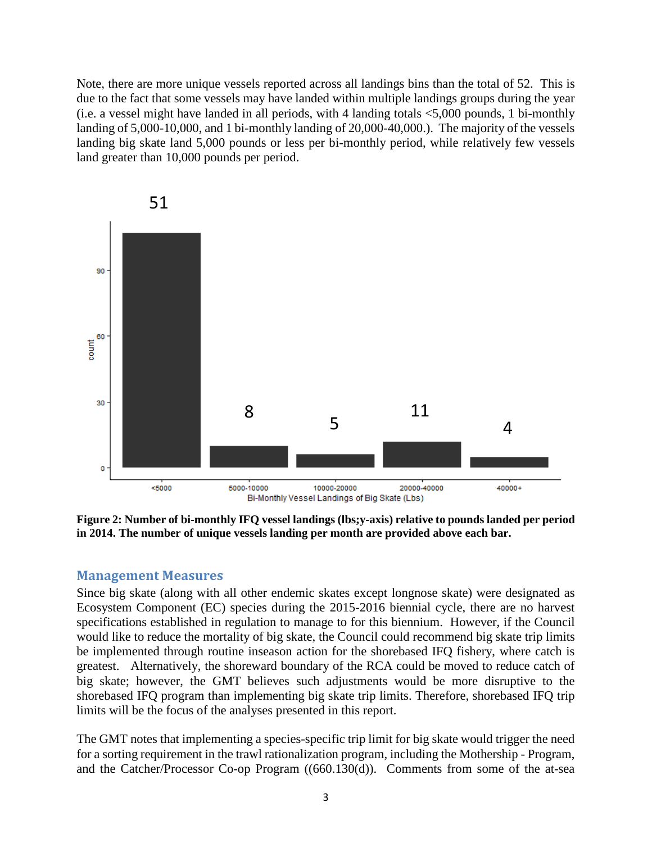Note, there are more unique vessels reported across all landings bins than the total of 52. This is due to the fact that some vessels may have landed within multiple landings groups during the year (i.e. a vessel might have landed in all periods, with 4 landing totals <5,000 pounds, 1 bi-monthly landing of 5,000-10,000, and 1 bi-monthly landing of 20,000-40,000.). The majority of the vessels landing big skate land 5,000 pounds or less per bi-monthly period, while relatively few vessels land greater than 10,000 pounds per period.



<span id="page-2-0"></span>**Figure 2: Number of bi-monthly IFQ vessel landings (lbs;y-axis) relative to pounds landed per period in 2014. The number of unique vessels landing per month are provided above each bar.**

#### **Management Measures**

Since big skate (along with all other endemic skates except longnose skate) were designated as Ecosystem Component (EC) species during the 2015-2016 biennial cycle, there are no harvest specifications established in regulation to manage to for this biennium. However, if the Council would like to reduce the mortality of big skate, the Council could recommend big skate trip limits be implemented through routine inseason action for the shorebased IFQ fishery, where catch is greatest. Alternatively, the shoreward boundary of the RCA could be moved to reduce catch of big skate; however, the GMT believes such adjustments would be more disruptive to the shorebased IFQ program than implementing big skate trip limits. Therefore, shorebased IFQ trip limits will be the focus of the analyses presented in this report.

The GMT notes that implementing a species-specific trip limit for big skate would trigger the need for a sorting requirement in the trawl rationalization program, including the Mothership - Program, and the Catcher/Processor Co-op Program ((660.130(d)). Comments from some of the at-sea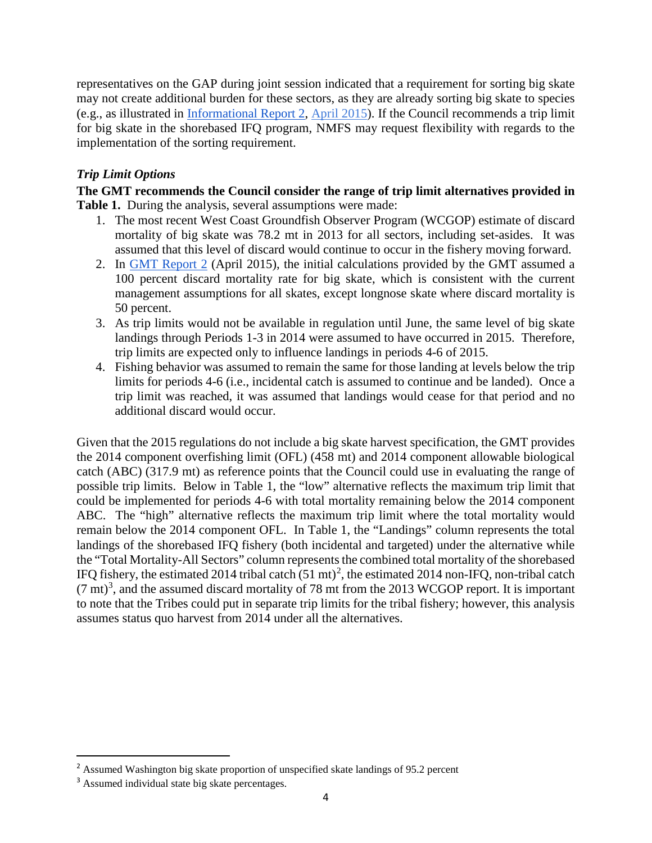representatives on the GAP during joint session indicated that a requirement for sorting big skate may not create additional burden for these sectors, as they are already sorting big skate to species (e.g., as illustrated in [Informational Report 2,](http://www.pcouncil.org/wp-content/uploads/2015/03/IR2_2014_Co-op_Annual_Rpt_MS_APR2015BB.pdf) April 2015). If the Council recommends a trip limit for big skate in the shorebased IFQ program, NMFS may request flexibility with regards to the implementation of the sorting requirement.

## *Trip Limit Options*

**The GMT recommends the Council consider the range of trip limit alternatives provided in Table 1.** During the analysis, several assumptions were made:

- 1. The most recent West Coast Groundfish Observer Program (WCGOP) estimate of discard mortality of big skate was 78.2 mt in 2013 for all sectors, including set-asides. It was assumed that this level of discard would continue to occur in the fishery moving forward.
- 2. In [GMT Report 2](http://www.pcouncil.org/wp-content/uploads/2015/03/E8a_GMT_Rpt2_EC_APR2015BB.pdf) (April 2015), the initial calculations provided by the GMT assumed a 100 percent discard mortality rate for big skate, which is consistent with the current management assumptions for all skates, except longnose skate where discard mortality is 50 percent.
- 3. As trip limits would not be available in regulation until June, the same level of big skate landings through Periods 1-3 in 2014 were assumed to have occurred in 2015. Therefore, trip limits are expected only to influence landings in periods 4-6 of 2015.
- 4. Fishing behavior was assumed to remain the same for those landing at levels below the trip limits for periods 4-6 (i.e., incidental catch is assumed to continue and be landed). Once a trip limit was reached, it was assumed that landings would cease for that period and no additional discard would occur.

Given that the 2015 regulations do not include a big skate harvest specification, the GMT provides the 2014 component overfishing limit (OFL) (458 mt) and 2014 component allowable biological catch (ABC) (317.9 mt) as reference points that the Council could use in evaluating the range of possible trip limits. Below in Table 1, the "low" alternative reflects the maximum trip limit that could be implemented for periods 4-6 with total mortality remaining below the 2014 component ABC. The "high" alternative reflects the maximum trip limit where the total mortality would remain below the 2014 component OFL. In Table 1, the "Landings" column represents the total landings of the shorebased IFQ fishery (both incidental and targeted) under the alternative while the "Total Mortality-All Sectors" column represents the combined total mortality of the shorebased IFQ fishery, the estimated [2](#page-3-0)014 tribal catch  $(51 \text{ mt})^2$ , the estimated 2014 non-IFQ, non-tribal catch  $(7 \text{ mt})^3$  $(7 \text{ mt})^3$ , and the assumed discard mortality of 78 mt from the 2013 WCGOP report. It is important to note that the Tribes could put in separate trip limits for the tribal fishery; however, this analysis assumes status quo harvest from 2014 under all the alternatives.

l

<span id="page-3-0"></span> $2$  Assumed Washington big skate proportion of unspecified skate landings of 95.2 percent

<span id="page-3-1"></span><sup>&</sup>lt;sup>3</sup> Assumed individual state big skate percentages.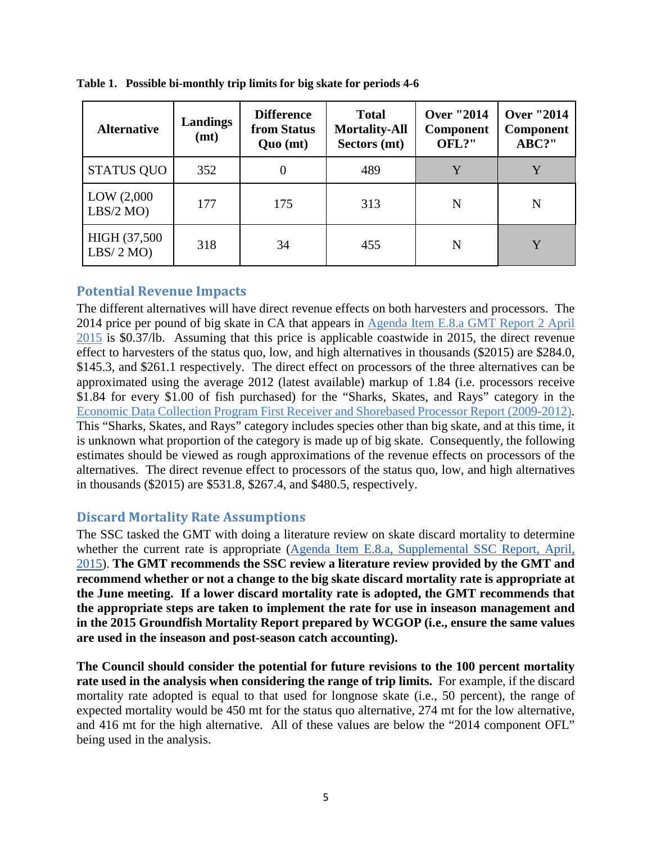| <b>Alternative</b>        | <b>Landings</b><br>(mt) | <b>Difference</b><br>from Status<br>Quo (mt) | <b>Total</b><br><b>Mortality-All</b><br>Sectors (mt) | <b>Over "2014</b><br><b>Component</b><br>OFL?" | <b>Over "2014</b><br><b>Component</b><br>ABC?" |
|---------------------------|-------------------------|----------------------------------------------|------------------------------------------------------|------------------------------------------------|------------------------------------------------|
| <b>STATUS QUO</b>         | 352                     | 0                                            | 489                                                  | $\mathbf v$                                    | $\mathbf v$                                    |
| LOW (2,000)<br>LBS/2 MO   | 177                     | 175                                          | 313                                                  | N                                              | N                                              |
| HIGH (37,500)<br>LBS/2 MO | 318                     | 34                                           | 455                                                  | N                                              | Y                                              |

**Table 1. Possible bi-monthly trip limits for big skate for periods 4-6**

## **Potential Revenue Impacts**

The different alternatives will have direct revenue effects on both harvesters and processors. The 2014 price per pound of big skate in CA that appears in [Agenda Item E.8.a GMT Report 2 April](http://www.pcouncil.org/wp-content/uploads/2015/03/E8a_GMT_Rpt2_EC_APR2015BB.pdf)  [2015](http://www.pcouncil.org/wp-content/uploads/2015/03/E8a_GMT_Rpt2_EC_APR2015BB.pdf) is \$0.37/lb. Assuming that this price is applicable coastwide in 2015, the direct revenue effect to harvesters of the status quo, low, and high alternatives in thousands (\$2015) are \$284.0, \$145.3, and \$261.1 respectively. The direct effect on processors of the three alternatives can be approximated using the average 2012 (latest available) markup of 1.84 (i.e. processors receive \$1.84 for every \$1.00 of fish purchased) for the "Sharks, Skates, and Rays" category in th[e](http://www.nwfsc.noaa.gov/research/divisions/fram/documents/EDC_First_Receiver_Shorebased_Processor_Report_2015.pdf) [Economic Data Collection Program First Receiver and Shorebased Processor Report \(2009-2012\).](http://www.nwfsc.noaa.gov/research/divisions/fram/documents/EDC_First_Receiver_Shorebased_Processor_Report_2015.pdf) This "Sharks, Skates, and Rays" category includes species other than big skate, and at this time, it is unknown what proportion of the category is made up of big skate. Consequently, the following estimates should be viewed as rough approximations of the revenue effects on processors of the alternatives. The direct revenue effect to processors of the status quo, low, and high alternatives in thousands (\$2015) are \$531.8, \$267.4, and \$480.5, respectively.

#### **Discard Mortality Rate Assumptions**

The SSC tasked the GMT with doing a literature review on skate discard mortality to determine whether the current rate is appropriate [\(Agenda Item E.8.a, Supplemental SSC Report, April,](http://www.pcouncil.org/wp-content/uploads/2015/04/E8a_SupSSC_Rpt_APR2015BB.pdf)  [2015\)](http://www.pcouncil.org/wp-content/uploads/2015/04/E8a_SupSSC_Rpt_APR2015BB.pdf). **The GMT recommends the SSC review a literature review provided by the GMT and recommend whether or not a change to the big skate discard mortality rate is appropriate at the June meeting. If a lower discard mortality rate is adopted, the GMT recommends that the appropriate steps are taken to implement the rate for use in inseason management and in the 2015 Groundfish Mortality Report prepared by WCGOP (i.e., ensure the same values are used in the inseason and post-season catch accounting).** 

**The Council should consider the potential for future revisions to the 100 percent mortality rate used in the analysis when considering the range of trip limits.** For example, if the discard mortality rate adopted is equal to that used for longnose skate (i.e., 50 percent), the range of expected mortality would be 450 mt for the status quo alternative, 274 mt for the low alternative, and 416 mt for the high alternative. All of these values are below the "2014 component OFL" being used in the analysis.